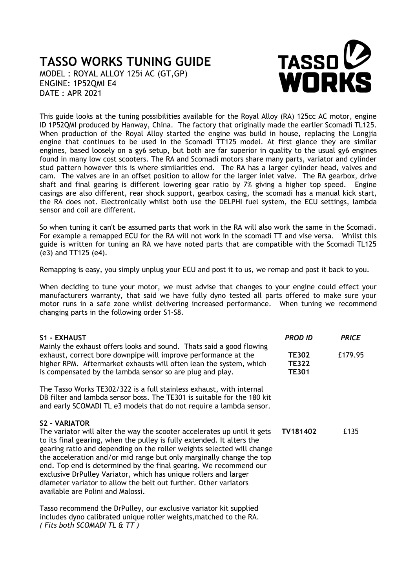## **TASSO WORKS TUNING GUIDE**

MODEL : ROYAL ALLOY 125i AC (GT,GP) ENGINE: 1P52QMI E4 DATE : APR 2021

*( Fits both SCOMADI TL & TT )*



This guide looks at the tuning possibilities available for the Royal Alloy (RA) 125cc AC motor, engine ID 1P52QMI produced by Hanway, China. The factory that originally made the earlier Scomadi TL125. When production of the Royal Alloy started the engine was build in house, replacing the Longjia engine that continues to be used in the Scomadi TT125 model. At first glance they are similar engines, based loosely on a gy6 setup, but both are far superior in quality to the usual gy6 engines found in many low cost scooters. The RA and Scomadi motors share many parts, variator and cylinder stud pattern however this is where similarities end. The RA has a larger cylinder head, valves and cam. The valves are in an offset position to allow for the larger inlet valve. The RA gearbox, drive shaft and final gearing is different lowering gear ratio by 7% giving a higher top speed. Engine casings are also different, rear shock support, gearbox casing, the scomadi has a manual kick start, the RA does not. Electronically whilst both use the DELPHI fuel system, the ECU settings, lambda sensor and coil are different.

So when tuning it can't be assumed parts that work in the RA will also work the same in the Scomadi. For example a remapped ECU for the RA will not work in the scomadi TT and vise versa. Whilst this guide is written for tuning an RA we have noted parts that are compatible with the Scomadi TL125 (e3) and TT125 (e4).

Remapping is easy, you simply unplug your ECU and post it to us, we remap and post it back to you.

When deciding to tune your motor, we must advise that changes to your engine could effect your manufacturers warranty, that said we have fully dyno tested all parts offered to make sure your motor runs in a safe zone whilst delivering increased performance. When tuning we recommend changing parts in the following order S1-S8.

| S1 - EXHAUST                                                                                                                                                                                                                                                                                                                                                                                                                                                                                                                                                                   | <b>PROD ID</b>                               | <b>PRICE</b> |
|--------------------------------------------------------------------------------------------------------------------------------------------------------------------------------------------------------------------------------------------------------------------------------------------------------------------------------------------------------------------------------------------------------------------------------------------------------------------------------------------------------------------------------------------------------------------------------|----------------------------------------------|--------------|
| Mainly the exhaust offers looks and sound. Thats said a good flowing<br>exhaust, correct bore downpipe will improve performance at the<br>higher RPM. Aftermarket exhausts will often lean the system, which<br>is compensated by the lambda sensor so are plug and play.                                                                                                                                                                                                                                                                                                      | <b>TE302</b><br><b>TE322</b><br><b>TE301</b> | £179.95      |
| The Tasso Works TE302/322 is a full stainless exhaust, with internal<br>DB filter and lambda sensor boss. The TE301 is suitable for the 180 kit<br>and early SCOMADI TL e3 models that do not require a lambda sensor.                                                                                                                                                                                                                                                                                                                                                         |                                              |              |
| <b>S2 - VARIATOR</b><br>The variator will alter the way the scooter accelerates up until it gets<br>to its final gearing, when the pulley is fully extended. It alters the<br>gearing ratio and depending on the roller weights selected will change<br>the acceleration and/or mid range but only marginally change the top<br>end. Top end is determined by the final gearing. We recommend our<br>exclusive DrPulley Variator, which has unique rollers and larger<br>diameter variator to allow the belt out further. Other variators<br>available are Polini and Malossi. | TV181402                                     | £135         |
| Tasso recommend the DrPulley, our exclusive variator kit supplied<br>includes dyno calibrated unique roller weights, matched to the RA.                                                                                                                                                                                                                                                                                                                                                                                                                                        |                                              |              |